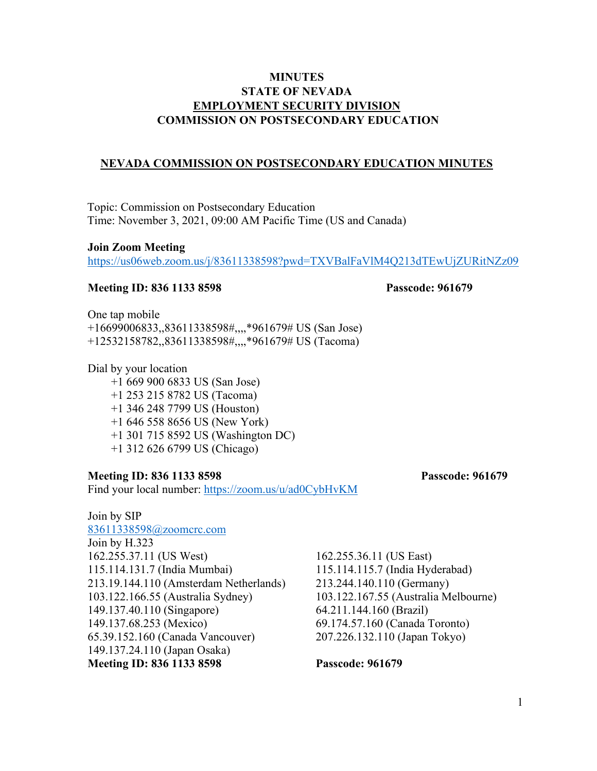# **MINUTES STATE OF NEVADA EMPLOYMENT SECURITY DIVISION COMMISSION ON POSTSECONDARY EDUCATION**

### **NEVADA COMMISSION ON POSTSECONDARY EDUCATION MINUTES**

Topic: Commission on Postsecondary Education Time: November 3, 2021, 09:00 AM Pacific Time (US and Canada)

### **Join Zoom Meeting**

<https://us06web.zoom.us/j/83611338598?pwd=TXVBalFaVlM4Q213dTEwUjZURitNZz09>

#### **Meeting ID: 836 1133 8598 Passcode: 961679**

One tap mobile

+16699006833,,83611338598#,,,,\*961679# US (San Jose) +12532158782,,83611338598#,,,,\*961679# US (Tacoma)

Dial by your location

+1 669 900 6833 US (San Jose)

- +1 253 215 8782 US (Tacoma)
- +1 346 248 7799 US (Houston)
- +1 646 558 8656 US (New York)
- +1 301 715 8592 US (Washington DC)
- +1 312 626 6799 US (Chicago)

### **Meeting ID: 836 1133 8598 Passcode: 961679**

Find your local number:<https://zoom.us/u/ad0CybHvKM>

Join by SIP [83611338598@zoomcrc.com](mailto:83611338598@zoomcrc.com) Join by H.323 162.255.37.11 (US West) 162.255.36.11 (US East) 115.114.131.7 (India Mumbai) 115.114.115.7 (India Hyderabad) 213.19.144.110 (Amsterdam Netherlands) 213.244.140.110 (Germany) 103.122.166.55 (Australia Sydney) 103.122.167.55 (Australia Melbourne) 149.137.40.110 (Singapore) 64.211.144.160 (Brazil) 149.137.68.253 (Mexico) 69.174.57.160 (Canada Toronto) 65.39.152.160 (Canada Vancouver) 207.226.132.110 (Japan Tokyo) 149.137.24.110 (Japan Osaka) **Meeting ID: 836 1133 8598 Passcode: 961679**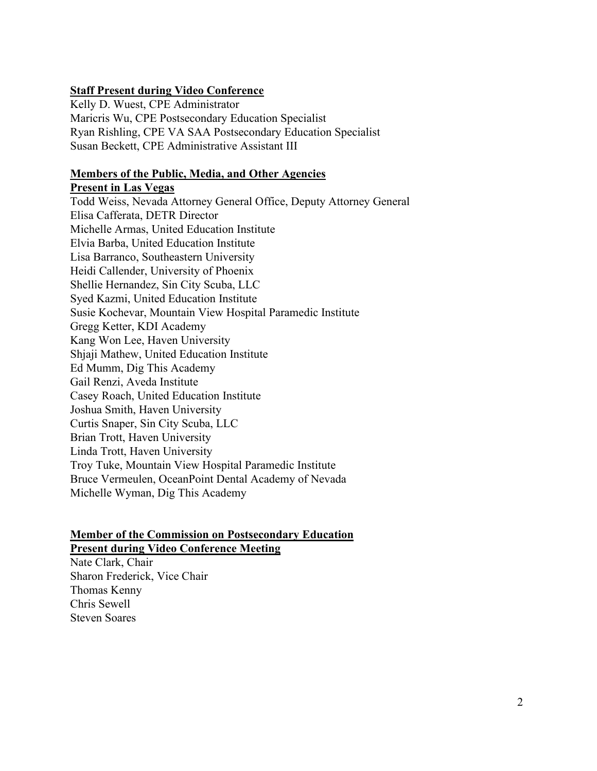# **Staff Present during Video Conference**

Kelly D. Wuest, CPE Administrator Maricris Wu, CPE Postsecondary Education Specialist Ryan Rishling, CPE VA SAA Postsecondary Education Specialist Susan Beckett, CPE Administrative Assistant III

### **Members of the Public, Media, and Other Agencies**

**Present in Las Vegas** Todd Weiss, Nevada Attorney General Office, Deputy Attorney General Elisa Cafferata, DETR Director Michelle Armas, United Education Institute Elvia Barba, United Education Institute Lisa Barranco, Southeastern University Heidi Callender, University of Phoenix Shellie Hernandez, Sin City Scuba, LLC Syed Kazmi, United Education Institute Susie Kochevar, Mountain View Hospital Paramedic Institute Gregg Ketter, KDI Academy Kang Won Lee, Haven University Shjaji Mathew, United Education Institute Ed Mumm, Dig This Academy Gail Renzi, Aveda Institute Casey Roach, United Education Institute Joshua Smith, Haven University Curtis Snaper, Sin City Scuba, LLC Brian Trott, Haven University Linda Trott, Haven University Troy Tuke, Mountain View Hospital Paramedic Institute Bruce Vermeulen, OceanPoint Dental Academy of Nevada Michelle Wyman, Dig This Academy

# **Member of the Commission on Postsecondary Education Present during Video Conference Meeting**

Nate Clark, Chair Sharon Frederick, Vice Chair Thomas Kenny Chris Sewell Steven Soares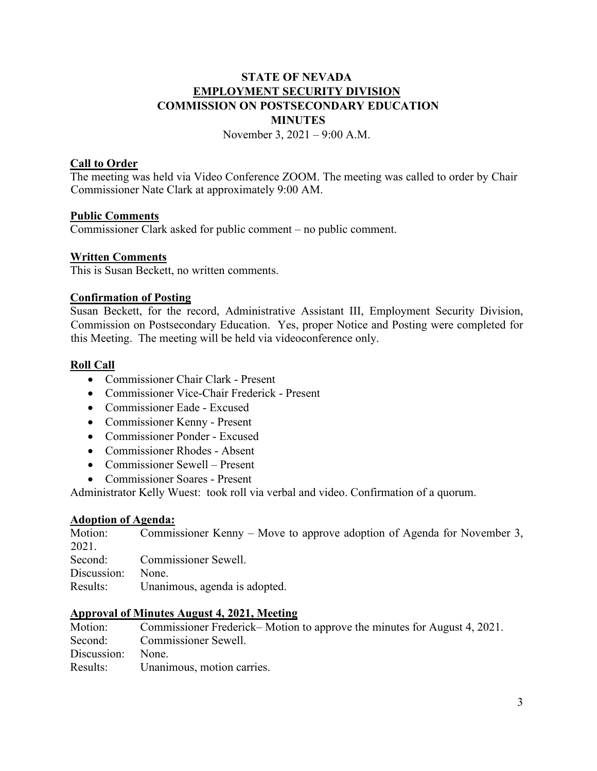# **STATE OF NEVADA EMPLOYMENT SECURITY DIVISION COMMISSION ON POSTSECONDARY EDUCATION MINUTES**

November 3, 2021 – 9:00 A.M.

# **Call to Order**

The meeting was held via Video Conference ZOOM. The meeting was called to order by Chair Commissioner Nate Clark at approximately 9:00 AM.

# **Public Comments**

Commissioner Clark asked for public comment – no public comment.

# **Written Comments**

This is Susan Beckett, no written comments.

# **Confirmation of Posting**

Susan Beckett, for the record, Administrative Assistant III, Employment Security Division, Commission on Postsecondary Education. Yes, proper Notice and Posting were completed for this Meeting. The meeting will be held via videoconference only.

# **Roll Call**

- Commissioner Chair Clark Present
- Commissioner Vice-Chair Frederick Present
- Commissioner Eade Excused
- Commissioner Kenny Present
- Commissioner Ponder Excused
- Commissioner Rhodes Absent
- Commissioner Sewell Present
- Commissioner Soares Present

Administrator Kelly Wuest: took roll via verbal and video. Confirmation of a quorum.

### **Adoption of Agenda:**

Motion: Commissioner Kenny – Move to approve adoption of Agenda for November 3, 2021. Second: Commissioner Sewell. Discussion: None. Results: Unanimous, agenda is adopted.

# **Approval of Minutes August 4, 2021, Meeting**

Commissioner Frederick– Motion to approve the minutes for August 4, 2021. Second: Commissioner Sewell. Discussion: None. Results: Unanimous, motion carries.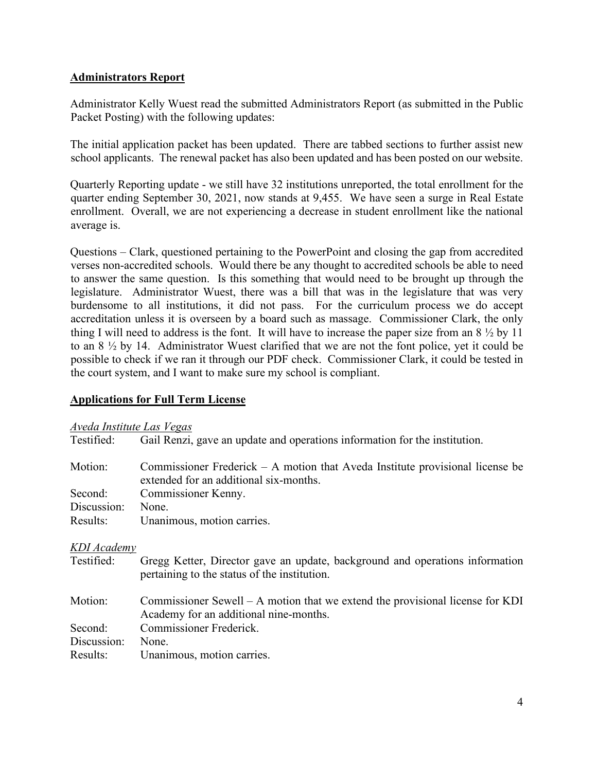# **Administrators Report**

Administrator Kelly Wuest read the submitted Administrators Report (as submitted in the Public Packet Posting) with the following updates:

The initial application packet has been updated. There are tabbed sections to further assist new school applicants. The renewal packet has also been updated and has been posted on our website.

Quarterly Reporting update - we still have 32 institutions unreported, the total enrollment for the quarter ending September 30, 2021, now stands at 9,455. We have seen a surge in Real Estate enrollment. Overall, we are not experiencing a decrease in student enrollment like the national average is.

Questions – Clark, questioned pertaining to the PowerPoint and closing the gap from accredited verses non-accredited schools. Would there be any thought to accredited schools be able to need to answer the same question. Is this something that would need to be brought up through the legislature. Administrator Wuest, there was a bill that was in the legislature that was very burdensome to all institutions, it did not pass. For the curriculum process we do accept accreditation unless it is overseen by a board such as massage. Commissioner Clark, the only thing I will need to address is the font. It will have to increase the paper size from an 8 ½ by 11 to an 8 ½ by 14. Administrator Wuest clarified that we are not the font police, yet it could be possible to check if we ran it through our PDF check. Commissioner Clark, it could be tested in the court system, and I want to make sure my school is compliant.

# **Applications for Full Term License**

# *Aveda Institute Las Vegas*

| <u><i><u>Treau</u></i> Thomate Lub regus</u> |                                                                                                                              |
|----------------------------------------------|------------------------------------------------------------------------------------------------------------------------------|
| Testified:                                   | Gail Renzi, gave an update and operations information for the institution.                                                   |
| Motion:                                      | Commissioner Frederick $- A$ motion that Aveda Institute provisional license be<br>extended for an additional six-months.    |
| Second:                                      | Commissioner Kenny.                                                                                                          |
| Discussion:                                  | None.                                                                                                                        |
| Results:                                     | Unanimous, motion carries.                                                                                                   |
| KDI Academy                                  |                                                                                                                              |
| Testified:                                   | Gregg Ketter, Director gave an update, background and operations information<br>pertaining to the status of the institution. |
| Motion:                                      | Commissioner Sewell – A motion that we extend the provisional license for KDI<br>Academy for an additional nine-months.      |
| Second:                                      | Commissioner Frederick.                                                                                                      |
| Discussion:                                  | None.                                                                                                                        |
| Results:                                     | Unanimous, motion carries.                                                                                                   |
|                                              |                                                                                                                              |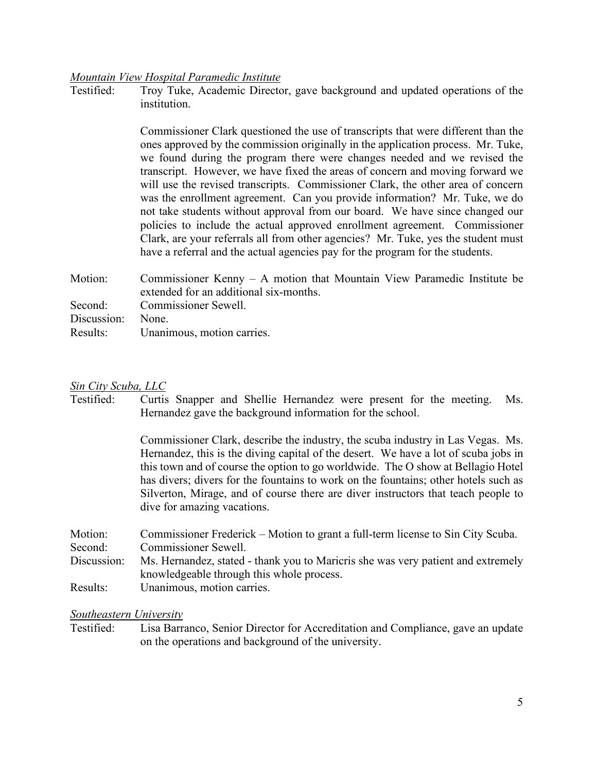# *Mountain View Hospital Paramedic Institute*

Troy Tuke, Academic Director, gave background and updated operations of the institution.

> Commissioner Clark questioned the use of transcripts that were different than the ones approved by the commission originally in the application process. Mr. Tuke, we found during the program there were changes needed and we revised the transcript. However, we have fixed the areas of concern and moving forward we will use the revised transcripts. Commissioner Clark, the other area of concern was the enrollment agreement. Can you provide information? Mr. Tuke, we do not take students without approval from our board. We have since changed our policies to include the actual approved enrollment agreement. Commissioner Clark, are your referrals all from other agencies? Mr. Tuke, yes the student must have a referral and the actual agencies pay for the program for the students.

Motion: Commissioner Kenny – A motion that Mountain View Paramedic Institute be extended for an additional six-months. Second: Commissioner Sewell. Discussion: None. Results: Unanimous, motion carries.

#### *Sin City Scuba, LLC*

Testified: Curtis Snapper and Shellie Hernandez were present for the meeting. Ms. Hernandez gave the background information for the school.

> Commissioner Clark, describe the industry, the scuba industry in Las Vegas. Ms. Hernandez, this is the diving capital of the desert. We have a lot of scuba jobs in this town and of course the option to go worldwide. The O show at Bellagio Hotel has divers; divers for the fountains to work on the fountains; other hotels such as Silverton, Mirage, and of course there are diver instructors that teach people to dive for amazing vacations.

| Motion:     | Commissioner Frederick – Motion to grant a full-term license to Sin City Scuba.  |
|-------------|----------------------------------------------------------------------------------|
| Second:     | Commissioner Sewell.                                                             |
| Discussion: | Ms. Hernandez, stated - thank you to Maricris she was very patient and extremely |
|             | knowledgeable through this whole process.                                        |
| Results:    | Unanimous, motion carries.                                                       |

#### *Southeastern University*

Testified: Lisa Barranco, Senior Director for Accreditation and Compliance, gave an update on the operations and background of the university.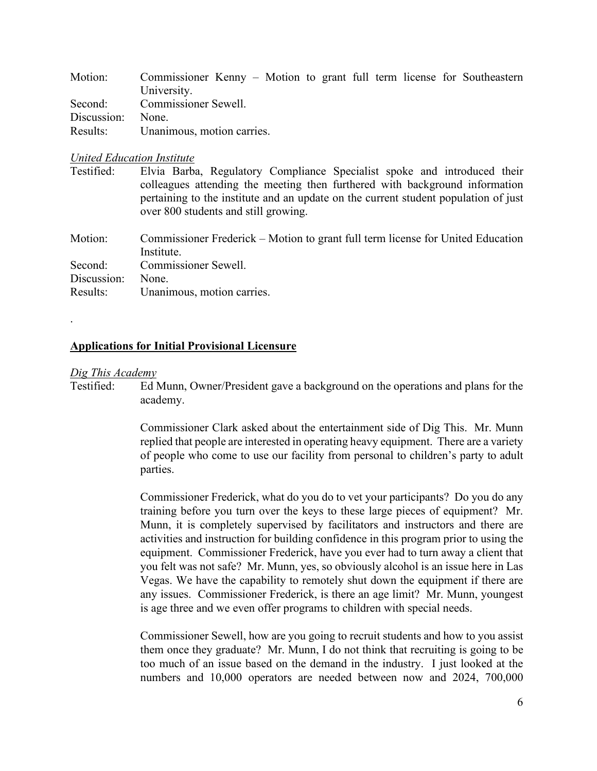| Motion:     | Commissioner Kenny – Motion to grant full term license for Southeastern |
|-------------|-------------------------------------------------------------------------|
|             | University.                                                             |
|             | Second: Commissioner Sewell.                                            |
| Discussion: | None.                                                                   |
| Results:    | Unanimous, motion carries.                                              |

### *United Education Institute*

| Testified: | Elvia Barba, Regulatory Compliance Specialist spoke and introduced their            |
|------------|-------------------------------------------------------------------------------------|
|            | colleagues attending the meeting then furthered with background information         |
|            | pertaining to the institute and an update on the current student population of just |
|            | over 800 students and still growing.                                                |

Motion: Commissioner Frederick – Motion to grant full term license for United Education Institute. Second: Commissioner Sewell.

Discussion: None. Results: Unanimous, motion carries.

### **Applications for Initial Provisional Licensure**

### *Dig This Academy*

.

Testified: Ed Munn, Owner/President gave a background on the operations and plans for the academy.

> Commissioner Clark asked about the entertainment side of Dig This. Mr. Munn replied that people are interested in operating heavy equipment. There are a variety of people who come to use our facility from personal to children's party to adult parties.

> Commissioner Frederick, what do you do to vet your participants? Do you do any training before you turn over the keys to these large pieces of equipment? Mr. Munn, it is completely supervised by facilitators and instructors and there are activities and instruction for building confidence in this program prior to using the equipment. Commissioner Frederick, have you ever had to turn away a client that you felt was not safe? Mr. Munn, yes, so obviously alcohol is an issue here in Las Vegas. We have the capability to remotely shut down the equipment if there are any issues. Commissioner Frederick, is there an age limit? Mr. Munn, youngest is age three and we even offer programs to children with special needs.

> Commissioner Sewell, how are you going to recruit students and how to you assist them once they graduate? Mr. Munn, I do not think that recruiting is going to be too much of an issue based on the demand in the industry. I just looked at the numbers and 10,000 operators are needed between now and 2024, 700,000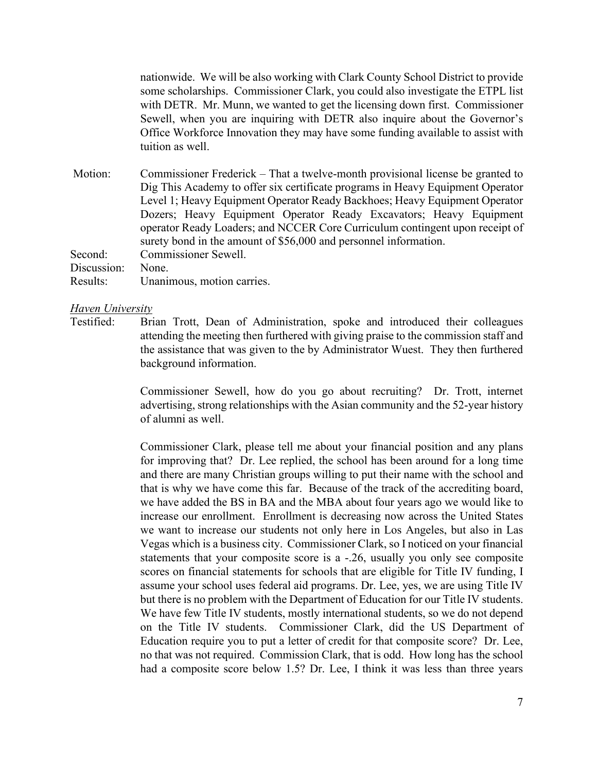nationwide. We will be also working with Clark County School District to provide some scholarships. Commissioner Clark, you could also investigate the ETPL list with DETR. Mr. Munn, we wanted to get the licensing down first. Commissioner Sewell, when you are inquiring with DETR also inquire about the Governor's Office Workforce Innovation they may have some funding available to assist with tuition as well.

Motion: Commissioner Frederick – That a twelve-month provisional license be granted to Dig This Academy to offer six certificate programs in Heavy Equipment Operator Level 1; Heavy Equipment Operator Ready Backhoes; Heavy Equipment Operator Dozers; Heavy Equipment Operator Ready Excavators; Heavy Equipment operator Ready Loaders; and NCCER Core Curriculum contingent upon receipt of surety bond in the amount of \$56,000 and personnel information. Second: Commissioner Sewell. Discussion: None.

Results: Unanimous, motion carries.

# *Haven University*

Brian Trott, Dean of Administration, spoke and introduced their colleagues attending the meeting then furthered with giving praise to the commission staff and the assistance that was given to the by Administrator Wuest. They then furthered background information.

> Commissioner Sewell, how do you go about recruiting? Dr. Trott, internet advertising, strong relationships with the Asian community and the 52-year history of alumni as well.

> Commissioner Clark, please tell me about your financial position and any plans for improving that? Dr. Lee replied, the school has been around for a long time and there are many Christian groups willing to put their name with the school and that is why we have come this far. Because of the track of the accrediting board, we have added the BS in BA and the MBA about four years ago we would like to increase our enrollment. Enrollment is decreasing now across the United States we want to increase our students not only here in Los Angeles, but also in Las Vegas which is a business city. Commissioner Clark, so I noticed on your financial statements that your composite score is a -.26, usually you only see composite scores on financial statements for schools that are eligible for Title IV funding, I assume your school uses federal aid programs. Dr. Lee, yes, we are using Title IV but there is no problem with the Department of Education for our Title IV students. We have few Title IV students, mostly international students, so we do not depend on the Title IV students. Commissioner Clark, did the US Department of Education require you to put a letter of credit for that composite score? Dr. Lee, no that was not required. Commission Clark, that is odd. How long has the school had a composite score below 1.5? Dr. Lee, I think it was less than three years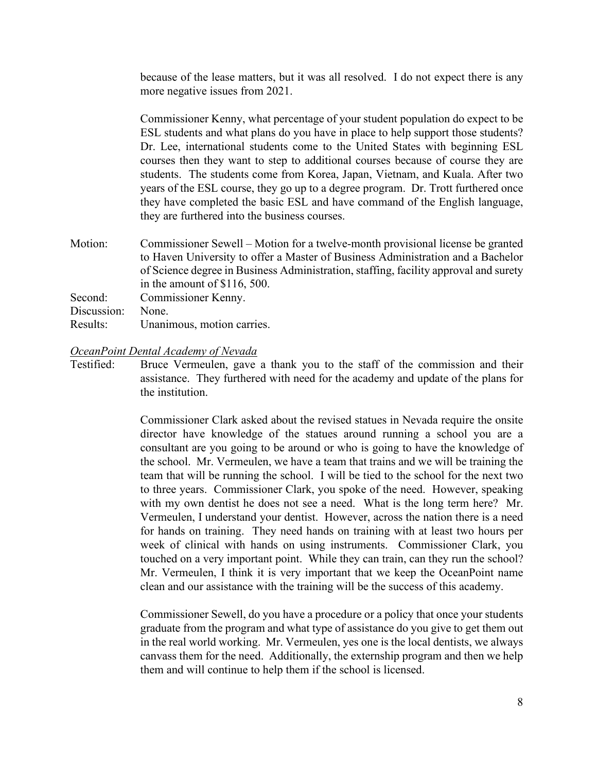because of the lease matters, but it was all resolved. I do not expect there is any more negative issues from 2021.

Commissioner Kenny, what percentage of your student population do expect to be ESL students and what plans do you have in place to help support those students? Dr. Lee, international students come to the United States with beginning ESL courses then they want to step to additional courses because of course they are students. The students come from Korea, Japan, Vietnam, and Kuala. After two years of the ESL course, they go up to a degree program. Dr. Trott furthered once they have completed the basic ESL and have command of the English language, they are furthered into the business courses.

Motion: Commissioner Sewell – Motion for a twelve-month provisional license be granted to Haven University to offer a Master of Business Administration and a Bachelor of Science degree in Business Administration, staffing, facility approval and surety in the amount of \$116, 500. Second: Commissioner Kenny.

Discussion: None.

Results: Unanimous, motion carries.

### *OceanPoint Dental Academy of Nevada*

Testified: Bruce Vermeulen, gave a thank you to the staff of the commission and their assistance. They furthered with need for the academy and update of the plans for the institution.

> Commissioner Clark asked about the revised statues in Nevada require the onsite director have knowledge of the statues around running a school you are a consultant are you going to be around or who is going to have the knowledge of the school. Mr. Vermeulen, we have a team that trains and we will be training the team that will be running the school. I will be tied to the school for the next two to three years. Commissioner Clark, you spoke of the need. However, speaking with my own dentist he does not see a need. What is the long term here? Mr. Vermeulen, I understand your dentist. However, across the nation there is a need for hands on training. They need hands on training with at least two hours per week of clinical with hands on using instruments. Commissioner Clark, you touched on a very important point. While they can train, can they run the school? Mr. Vermeulen, I think it is very important that we keep the OceanPoint name clean and our assistance with the training will be the success of this academy.

> Commissioner Sewell, do you have a procedure or a policy that once your students graduate from the program and what type of assistance do you give to get them out in the real world working. Mr. Vermeulen, yes one is the local dentists, we always canvass them for the need. Additionally, the externship program and then we help them and will continue to help them if the school is licensed.